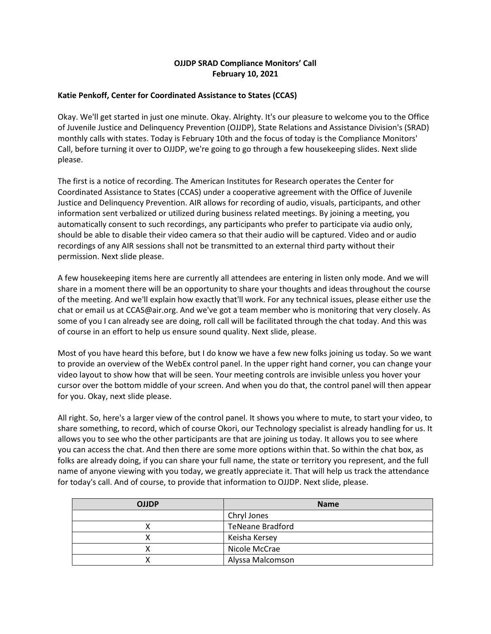# **OJJDP SRAD Compliance Monitors' Call February 10, 2021**

### **Katie Penkoff, Center for Coordinated Assistance to States (CCAS)**

 monthly calls with states. Today is February 10th and the focus of today is the Compliance Monitors' Call, before turning it over to OJJDP, we're going to go through a few housekeeping slides. Next slide Okay. We'll get started in just one minute. Okay. Alrighty. It's our pleasure to welcome you to the Office of Juvenile Justice and Delinquency Prevention (OJJDP), State Relations and Assistance Division's (SRAD) please.

 Coordinated Assistance to States (CCAS) under a cooperative agreement with the Office of Juvenile Justice and Delinquency Prevention. AIR allows for recording of audio, visuals, participants, and other information sent verbalized or utilized during business related meetings. By joining a meeting, you automatically consent to such recordings, any participants who prefer to participate via audio only, should be able to disable their video camera so that their audio will be captured. Video and or audio The first is a notice of recording. The American Institutes for Research operates the Center for recordings of any AIR sessions shall not be transmitted to an external third party without their permission. Next slide please.

 A few housekeeping items here are currently all attendees are entering in listen only mode. And we will share in a moment there will be an opportunity to share your thoughts and ideas throughout the course of the meeting. And we'll explain how exactly that'll work. For any technical issues, please either use the chat or email us at [CCAS@air.org](mailto:CCAS@air.org). And we've got a team member who is monitoring that very closely. As some of you I can already see are doing, roll call will be facilitated through the chat today. And this was of course in an effort to help us ensure sound quality. Next slide, please.

 to provide an overview of the WebEx control panel. In the upper right hand corner, you can change your cursor over the bottom middle of your screen. And when you do that, the control panel will then appear Most of you have heard this before, but I do know we have a few new folks joining us today. So we want video layout to show how that will be seen. Your meeting controls are invisible unless you hover your for you. Okay, next slide please.

 All right. So, here's a larger view of the control panel. It shows you where to mute, to start your video, to you can access the chat. And then there are some more options within that. So within the chat box, as name of anyone viewing with you today, we greatly appreciate it. That will help us track the attendance share something, to record, which of course Okori, our Technology specialist is already handling for us. It allows you to see who the other participants are that are joining us today. It allows you to see where folks are already doing, if you can share your full name, the state or territory you represent, and the full for today's call. And of course, to provide that information to OJJDP. Next slide, please.

| <b>OJJDP</b> | <b>Name</b>             |
|--------------|-------------------------|
|              | Chryl Jones             |
|              | <b>TeNeane Bradford</b> |
|              | Keisha Kersey           |
|              | Nicole McCrae           |
|              | Alyssa Malcomson        |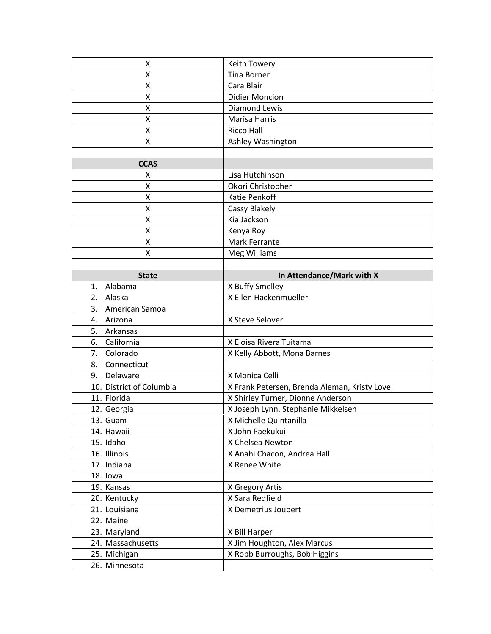| Χ                        | Keith Towery                                 |
|--------------------------|----------------------------------------------|
| Χ                        | <b>Tina Borner</b>                           |
| X                        | Cara Blair                                   |
| Χ                        | <b>Didier Moncion</b>                        |
| Χ                        | <b>Diamond Lewis</b>                         |
| Χ                        | Marisa Harris                                |
| Χ                        | <b>Ricco Hall</b>                            |
| X                        | Ashley Washington                            |
|                          |                                              |
| <b>CCAS</b>              |                                              |
| Χ                        | Lisa Hutchinson                              |
| Χ                        | Okori Christopher                            |
| Χ                        | Katie Penkoff                                |
| Χ                        | Cassy Blakely                                |
| Χ                        | Kia Jackson                                  |
| Χ                        | Kenya Roy                                    |
| Χ                        | Mark Ferrante                                |
| Χ                        | Meg Williams                                 |
|                          |                                              |
| <b>State</b>             | In Attendance/Mark with X                    |
| Alabama<br>1.            | X Buffy Smelley                              |
| 2.<br>Alaska             | X Ellen Hackenmueller                        |
| American Samoa<br>3.     |                                              |
| 4. Arizona               | X Steve Selover                              |
| 5. Arkansas              |                                              |
| California<br>6.         | X Eloisa Rivera Tuitama                      |
| 7. Colorado              | X Kelly Abbott, Mona Barnes                  |
| Connecticut<br>8.        |                                              |
| Delaware<br>9.           | X Monica Celli                               |
| 10. District of Columbia | X Frank Petersen, Brenda Aleman, Kristy Love |
| 11. Florida              | X Shirley Turner, Dionne Anderson            |
| 12. Georgia              | X Joseph Lynn, Stephanie Mikkelsen           |
| 13. Guam                 | X Michelle Quintanilla                       |
| 14. Hawaii               | X John Paekukui                              |
| 15. Idaho                | X Chelsea Newton                             |
| 16. Illinois             | X Anahi Chacon, Andrea Hall                  |
| 17. Indiana              | X Renee White                                |
| 18. Iowa                 |                                              |
| 19. Kansas               | X Gregory Artis                              |
| 20. Kentucky             | X Sara Redfield                              |
| 21. Louisiana            | X Demetrius Joubert                          |
|                          |                                              |
| 22. Maine                |                                              |
| 23. Maryland             | X Bill Harper                                |
| 24. Massachusetts        | X Jim Houghton, Alex Marcus                  |
| 25. Michigan             | X Robb Burroughs, Bob Higgins                |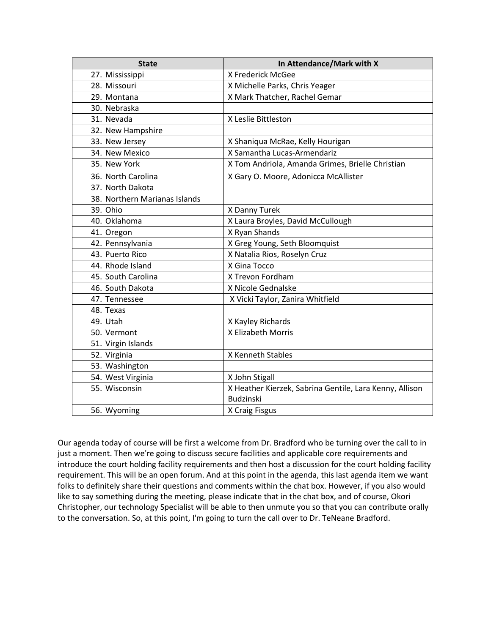| <b>State</b>                  | In Attendance/Mark with X                               |
|-------------------------------|---------------------------------------------------------|
| 27. Mississippi               | X Frederick McGee                                       |
| 28. Missouri                  | X Michelle Parks, Chris Yeager                          |
| 29. Montana                   | X Mark Thatcher, Rachel Gemar                           |
| 30. Nebraska                  |                                                         |
| 31. Nevada                    | X Leslie Bittleston                                     |
| 32. New Hampshire             |                                                         |
| 33. New Jersey                | X Shaniqua McRae, Kelly Hourigan                        |
| 34. New Mexico                | X Samantha Lucas-Armendariz                             |
| 35. New York                  | X Tom Andriola, Amanda Grimes, Brielle Christian        |
| 36. North Carolina            | X Gary O. Moore, Adonicca McAllister                    |
| 37. North Dakota              |                                                         |
| 38. Northern Marianas Islands |                                                         |
| 39. Ohio                      | X Danny Turek                                           |
| 40. Oklahoma                  | X Laura Broyles, David McCullough                       |
| 41. Oregon                    | X Ryan Shands                                           |
| 42. Pennsylvania              | X Greg Young, Seth Bloomquist                           |
| 43. Puerto Rico               | X Natalia Rios, Roselyn Cruz                            |
| 44. Rhode Island              | X Gina Tocco                                            |
| 45. South Carolina            | X Trevon Fordham                                        |
| 46. South Dakota              | X Nicole Gednalske                                      |
| 47. Tennessee                 | X Vicki Taylor, Zanira Whitfield                        |
| 48. Texas                     |                                                         |
| 49. Utah                      | X Kayley Richards                                       |
| 50. Vermont                   | X Elizabeth Morris                                      |
| 51. Virgin Islands            |                                                         |
| 52. Virginia                  | X Kenneth Stables                                       |
| 53. Washington                |                                                         |
| 54. West Virginia             | X John Stigall                                          |
| 55. Wisconsin                 | X Heather Kierzek, Sabrina Gentile, Lara Kenny, Allison |
|                               | <b>Budzinski</b>                                        |
| 56. Wyoming                   | X Craig Fisgus                                          |

 Our agenda today of course will be first a welcome from Dr. Bradford who be turning over the call to in just a moment. Then we're going to discuss secure facilities and applicable core requirements and folks to definitely share their questions and comments within the chat box. However, if you also would introduce the court holding facility requirements and then host a discussion for the court holding facility requirement. This will be an open forum. And at this point in the agenda, this last agenda item we want like to say something during the meeting, please indicate that in the chat box, and of course, Okori Christopher, our technology Specialist will be able to then unmute you so that you can contribute orally to the conversation. So, at this point, I'm going to turn the call over to Dr. TeNeane Bradford.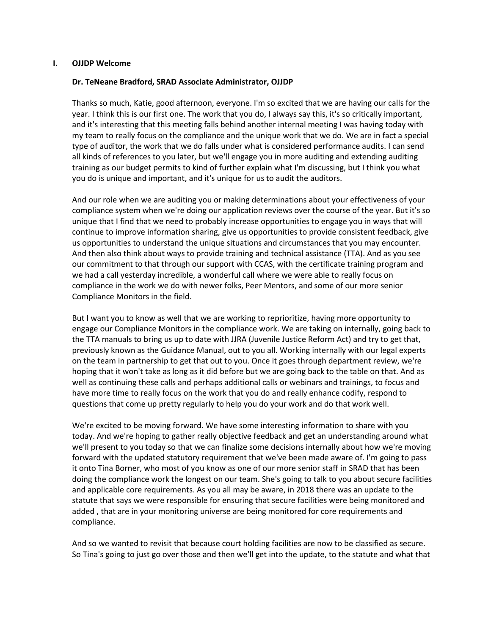#### **I. OJJDP Welcome**

### **Dr. TeNeane Bradford, SRAD Associate Administrator, OJJDP**

 and it's interesting that this meeting falls behind another internal meeting I was having today with my team to really focus on the compliance and the unique work that we do. We are in fact a special type of auditor, the work that we do falls under what is considered performance audits. I can send training as our budget permits to kind of further explain what I'm discussing, but I think you what Thanks so much, Katie, good afternoon, everyone. I'm so excited that we are having our calls for the year. I think this is our first one. The work that you do, I always say this, it's so critically important, all kinds of references to you later, but we'll engage you in more auditing and extending auditing you do is unique and important, and it's unique for us to audit the auditors.

 compliance system when we're doing our application reviews over the course of the year. But it's so unique that I find that we need to probably increase opportunities to engage you in ways that will us opportunities to understand the unique situations and circumstances that you may encounter. And then also think about ways to provide training and technical assistance (TTA). And as you see we had a call yesterday incredible, a wonderful call where we were able to really focus on compliance in the work we do with newer folks, Peer Mentors, and some of our more senior And our role when we are auditing you or making determinations about your effectiveness of your continue to improve information sharing, give us opportunities to provide consistent feedback, give our commitment to that through our support with CCAS, with the certificate training program and Compliance Monitors in the field.

 But I want you to know as well that we are working to reprioritize, having more opportunity to engage our Compliance Monitors in the compliance work. We are taking on internally, going back to the TTA manuals to bring us up to date with JJRA (Juvenile Justice Reform Act) and try to get that, previously known as the Guidance Manual, out to you all. Working internally with our legal experts on the team in partnership to get that out to you. Once it goes through department review, we're hoping that it won't take as long as it did before but we are going back to the table on that. And as have more time to really focus on the work that you do and really enhance codify, respond to questions that come up pretty regularly to help you do your work and do that work well. well as continuing these calls and perhaps additional calls or webinars and trainings, to focus and

 We're excited to be moving forward. We have some interesting information to share with you we'll present to you today so that we can finalize some decisions internally about how we're moving forward with the updated statutory requirement that we've been made aware of. I'm going to pass it onto Tina Borner, who most of you know as one of our more senior staff in SRAD that has been doing the compliance work the longest on our team. She's going to talk to you about secure facilities and applicable core requirements. As you all may be aware, in 2018 there was an update to the added , that are in your monitoring universe are being monitored for core requirements and today. And we're hoping to gather really objective feedback and get an understanding around what statute that says we were responsible for ensuring that secure facilities were being monitored and compliance.

 And so we wanted to revisit that because court holding facilities are now to be classified as secure. So Tina's going to just go over those and then we'll get into the update, to the statute and what that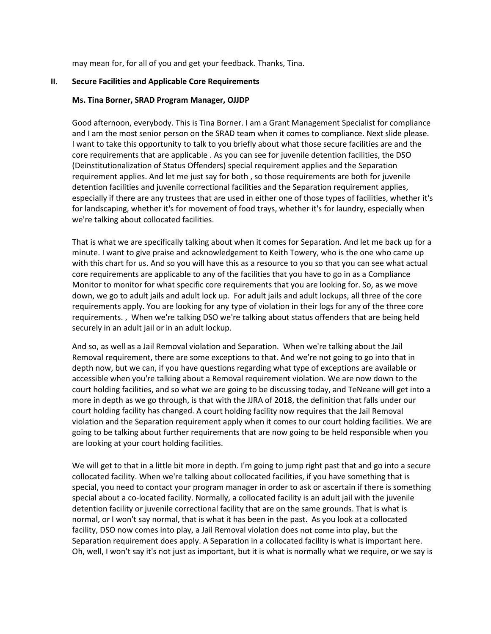may mean for, for all of you and get your feedback. Thanks, Tina.

### **II. Secure Facilities and Applicable Core Requirements**

#### **Ms. Tina Borner, SRAD Program Manager, OJJDP**

 Good afternoon, everybody. This is Tina Borner. I am a Grant Management Specialist for compliance I want to take this opportunity to talk to you briefly about what those secure facilities are and the core requirements that are applicable . As you can see for juvenile detention facilities, the DSO especially if there are any trustees that are used in either one of those types of facilities, whether it's and I am the most senior person on the SRAD team when it comes to compliance. Next slide please. (Deinstitutionalization of Status Offenders) special requirement applies and the Separation requirement applies. And let me just say for both , so those requirements are both for juvenile detention facilities and juvenile correctional facilities and the Separation requirement applies, for landscaping, whether it's for movement of food trays, whether it's for laundry, especially when we're talking about collocated facilities.

 That is what we are specifically talking about when it comes for Separation. And let me back up for a minute. I want to give praise and acknowledgement to Keith Towery, who is the one who came up with this chart for us. And so you will have this as a resource to you so that you can see what actual Monitor to monitor for what specific core requirements that you are looking for. So, as we move down, we go to adult jails and adult lock up. For adult jails and adult lockups, all three of the core requirements apply. You are looking for any type of violation in their logs for any of the three core requirements. , When we're talking DSO we're talking about status offenders that are being held core requirements are applicable to any of the facilities that you have to go in as a Compliance securely in an adult jail or in an adult lockup.

 depth now, but we can, if you have questions regarding what type of exceptions are available or accessible when you're talking about a Removal requirement violation. We are now down to the court holding facilities, and so what we are going to be discussing today, and TeNeane will get into a more in depth as we go through, is that with the JJRA of 2018, the definition that falls under our violation and the Separation requirement apply when it comes to our court holding facilities. We are And so, as well as a Jail Removal violation and Separation. When we're talking about the Jail Removal requirement, there are some exceptions to that. And we're not going to go into that in court holding facility has changed. A court holding facility now requires that the Jail Removal going to be talking about further requirements that are now going to be held responsible when you are looking at your court holding facilities.

 detention facility or juvenile correctional facility that are on the same grounds. That is what is normal, or I won't say normal, that is what it has been in the past. As you look at a collocated Oh, well, I won't say it's not just as important, but it is what is normally what we require, or we say is We will get to that in a little bit more in depth. I'm going to jump right past that and go into a secure collocated facility. When we're talking about collocated facilities, if you have something that is special, you need to contact your program manager in order to ask or ascertain if there is something special about a co-located facility. Normally, a collocated facility is an adult jail with the juvenile facility, DSO now comes into play, a Jail Removal violation does not come into play, but the Separation requirement does apply. A Separation in a collocated facility is what is important here.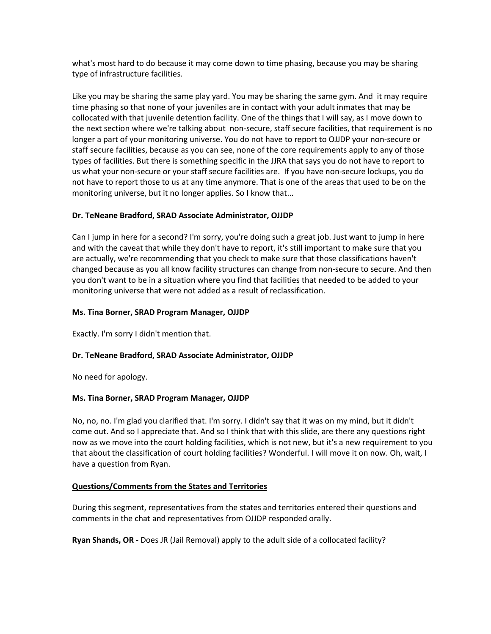what's most hard to do because it may come down to time phasing, because you may be sharing type of infrastructure facilities.

 Like you may be sharing the same play yard. You may be sharing the same gym. And it may require time phasing so that none of your juveniles are in contact with your adult inmates that may be collocated with that juvenile detention facility. One of the things that I will say, as I move down to longer a part of your monitoring universe. You do not have to report to OJJDP your non-secure or staff secure facilities, because as you can see, none of the core requirements apply to any of those types of facilities. But there is something specific in the JJRA that says you do not have to report to us what your non-secure or your staff secure facilities are. If you have non-secure lockups, you do the next section where we're talking about non-secure, staff secure facilities, that requirement is no not have to report those to us at any time anymore. That is one of the areas that used to be on the monitoring universe, but it no longer applies. So I know that...

## **Dr. TeNeane Bradford, SRAD Associate Administrator, OJJDP**

 are actually, we're recommending that you check to make sure that those classifications haven't changed because as you all know facility structures can change from non-secure to secure. And then you don't want to be in a situation where you find that facilities that needed to be added to your Can I jump in here for a second? I'm sorry, you're doing such a great job. Just want to jump in here and with the caveat that while they don't have to report, it's still important to make sure that you monitoring universe that were not added as a result of reclassification.

## **Ms. Tina Borner, SRAD Program Manager, OJJDP**

Exactly. I'm sorry I didn't mention that.

## **Dr. TeNeane Bradford, SRAD Associate Administrator, OJJDP**

No need for apology.

## **Ms. Tina Borner, SRAD Program Manager, OJJDP**

 No, no, no. I'm glad you clarified that. I'm sorry. I didn't say that it was on my mind, but it didn't now as we move into the court holding facilities, which is not new, but it's a new requirement to you that about the classification of court holding facilities? Wonderful. I will move it on now. Oh, wait, I come out. And so I appreciate that. And so I think that with this slide, are there any questions right have a question from Ryan.

## **Questions/Comments from the States and Territories**

During this segment, representatives from the states and territories entered their questions and comments in the chat and representatives from OJJDP responded orally.

**Ryan Shands, OR -** Does JR (Jail Removal) apply to the adult side of a collocated facility?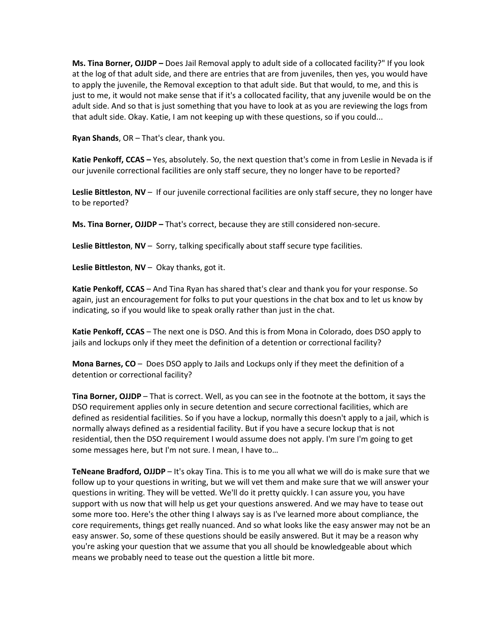**Ms. Tina Borner, OJJDP –** Does Jail Removal apply to adult side of a collocated facility?" If you look at the log of that adult side, and there are entries that are from juveniles, then yes, you would have to apply the juvenile, the Removal exception to that adult side. But that would, to me, and this is just to me, it would not make sense that if it's a collocated facility, that any juvenile would be on the adult side. And so that is just something that you have to look at as you are reviewing the logs from that adult side. Okay. Katie, I am not keeping up with these questions, so if you could...

**Ryan Shands**, OR – That's clear, thank you.

**Katie Penkoff, CCAS –** Yes, absolutely. So, the next question that's come in from Leslie in Nevada is if our juvenile correctional facilities are only staff secure, they no longer have to be reported?

 **Leslie Bittleston**, **NV** – If our juvenile correctional facilities are only staff secure, they no longer have to be reported?

 **Ms. Tina Borner, OJJDP –** That's correct, because they are still considered non-secure.

**Leslie Bittleston**, **NV** – Sorry, talking specifically about staff secure type facilities.

**Leslie Bittleston**, **NV** – Okay thanks, got it.

 **Katie Penkoff, CCAS** – And Tina Ryan has shared that's clear and thank you for your response. So again, just an encouragement for folks to put your questions in the chat box and to let us know by indicating, so if you would like to speak orally rather than just in the chat.

 **Katie Penkoff, CCAS** – The next one is DSO. And this is from Mona in Colorado, does DSO apply to jails and lockups only if they meet the definition of a detention or correctional facility?

 **Mona Barnes, CO** – Does DSO apply to Jails and Lockups only if they meet the definition of a detention or correctional facility?

 **Tina Borner, OJJDP** – That is correct. Well, as you can see in the footnote at the bottom, it says the normally always defined as a residential facility. But if you have a secure lockup that is not DSO requirement applies only in secure detention and secure correctional facilities, which are defined as residential facilities. So if you have a lockup, normally this doesn't apply to a jail, which is residential, then the DSO requirement I would assume does not apply. I'm sure I'm going to get some messages here, but I'm not sure. I mean, I have to…

 **TeNeane Bradford, OJJDP** – It's okay Tina. This is to me you all what we will do is make sure that we questions in writing. They will be vetted. We'll do it pretty quickly. I can assure you, you have support with us now that will help us get your questions answered. And we may have to tease out some more too. Here's the other thing I always say is as I've learned more about compliance, the easy answer. So, some of these questions should be easily answered. But it may be a reason why you're asking your question that we assume that you all should be knowledgeable about which follow up to your questions in writing, but we will vet them and make sure that we will answer your core requirements, things get really nuanced. And so what looks like the easy answer may not be an means we probably need to tease out the question a little bit more.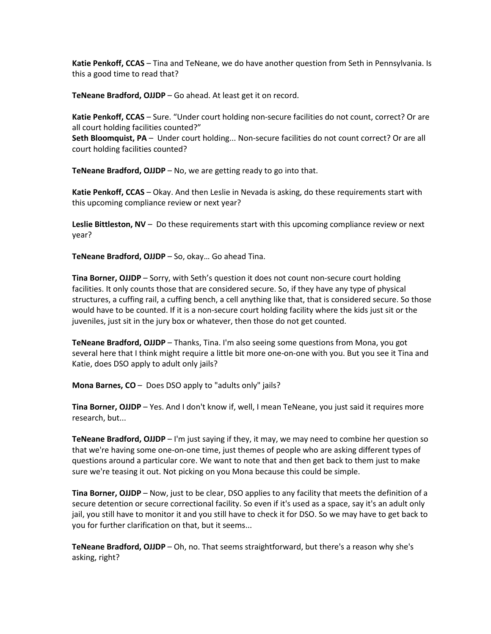**Katie Penkoff, CCAS** – Tina and TeNeane, we do have another question from Seth in Pennsylvania. Is this a good time to read that?

**TeNeane Bradford, OJJDP** – Go ahead. At least get it on record.

 **Katie Penkoff, CCAS** – Sure. "Under court holding non-secure facilities do not count, correct? Or are all court holding facilities counted?"

 **Seth Bloomquist, PA** – Under court holding... Non-secure facilities do not count correct? Or are all court holding facilities counted?

**TeNeane Bradford, OJJDP** – No, we are getting ready to go into that.

 **Katie Penkoff, CCAS** – Okay. And then Leslie in Nevada is asking, do these requirements start with this upcoming compliance review or next year?

 **Leslie Bittleston, NV** – Do these requirements start with this upcoming compliance review or next year?

**TeNeane Bradford, OJJDP** – So, okay… Go ahead Tina.

 **Tina Borner, OJJDP** – Sorry, with Seth's question it does not count non-secure court holding juveniles, just sit in the jury box or whatever, then those do not get counted. facilities. It only counts those that are considered secure. So, if they have any type of physical structures, a cuffing rail, a cuffing bench, a cell anything like that, that is considered secure. So those would have to be counted. If it is a non-secure court holding facility where the kids just sit or the

 **TeNeane Bradford, OJJDP** – Thanks, Tina. I'm also seeing some questions from Mona, you got several here that I think might require a little bit more one-on-one with you. But you see it Tina and Katie, does DSO apply to adult only jails?

**Mona Barnes, CO** – Does DSO apply to "adults only" jails?

 **Tina Borner, OJJDP** – Yes. And I don't know if, well, I mean TeNeane, you just said it requires more research, but...

 **TeNeane Bradford, OJJDP** – I'm just saying if they, it may, we may need to combine her question so questions around a particular core. We want to note that and then get back to them just to make that we're having some one-on-one time, just themes of people who are asking different types of sure we're teasing it out. Not picking on you Mona because this could be simple.

 **Tina Borner, OJJDP** – Now, just to be clear, DSO applies to any facility that meets the definition of a secure detention or secure correctional facility. So even if it's used as a space, say it's an adult only jail, you still have to monitor it and you still have to check it for DSO. So we may have to get back to you for further clarification on that, but it seems...

 **TeNeane Bradford, OJJDP** – Oh, no. That seems straightforward, but there's a reason why she's asking, right?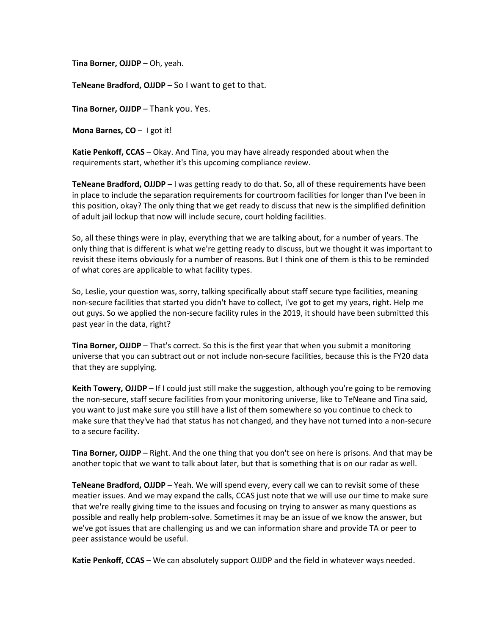**Tina Borner, OJJDP** – Oh, yeah.

**TeNeane Bradford, OJJDP** – So I want to get to that.

**Tina Borner, OJJDP** – Thank you. Yes.

**Mona Barnes, CO** – I got it!

 **Katie Penkoff, CCAS** – Okay. And Tina, you may have already responded about when the requirements start, whether it's this upcoming compliance review.

 **TeNeane Bradford, OJJDP** – I was getting ready to do that. So, all of these requirements have been this position, okay? The only thing that we get ready to discuss that new is the simplified definition in place to include the separation requirements for courtroom facilities for longer than I've been in of adult jail lockup that now will include secure, court holding facilities.

 only thing that is different is what we're getting ready to discuss, but we thought it was important to revisit these items obviously for a number of reasons. But I think one of them is this to be reminded So, all these things were in play, everything that we are talking about, for a number of years. The of what cores are applicable to what facility types.

 So, Leslie, your question was, sorry, talking specifically about staff secure type facilities, meaning out guys. So we applied the non-secure facility rules in the 2019, it should have been submitted this non-secure facilities that started you didn't have to collect, I've got to get my years, right. Help me past year in the data, right?

 **Tina Borner, OJJDP** – That's correct. So this is the first year that when you submit a monitoring universe that you can subtract out or not include non-secure facilities, because this is the FY20 data that they are supplying.

 **Keith Towery, OJJDP** – If I could just still make the suggestion, although you're going to be removing you want to just make sure you still have a list of them somewhere so you continue to check to the non-secure, staff secure facilities from your monitoring universe, like to TeNeane and Tina said, make sure that they've had that status has not changed, and they have not turned into a non-secure to a secure facility.

 **Tina Borner, OJJDP** – Right. And the one thing that you don't see on here is prisons. And that may be another topic that we want to talk about later, but that is something that is on our radar as well.

 **TeNeane Bradford, OJJDP** – Yeah. We will spend every, every call we can to revisit some of these meatier issues. And we may expand the calls, CCAS just note that we will use our time to make sure we've got issues that are challenging us and we can information share and provide TA or peer to that we're really giving time to the issues and focusing on trying to answer as many questions as possible and really help problem-solve. Sometimes it may be an issue of we know the answer, but peer assistance would be useful.

**Katie Penkoff, CCAS** – We can absolutely support OJJDP and the field in whatever ways needed.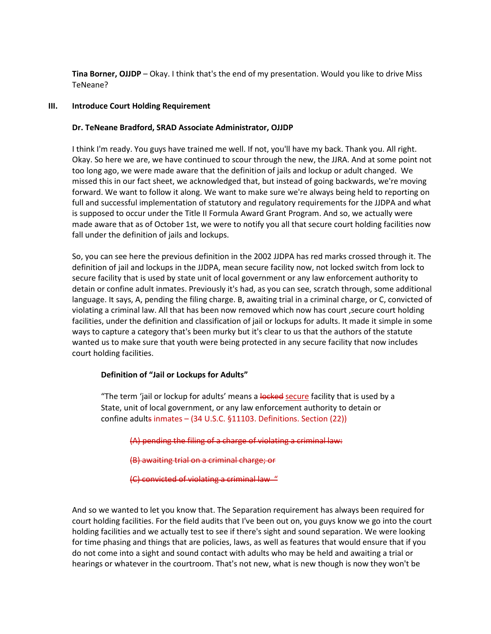**Tina Borner, OJJDP** – Okay. I think that's the end of my presentation. Would you like to drive Miss TeNeane?

#### **III. Introduce Court Holding Requirement**

### **Dr. TeNeane Bradford, SRAD Associate Administrator, OJJDP**

 I think I'm ready. You guys have trained me well. If not, you'll have my back. Thank you. All right. Okay. So here we are, we have continued to scour through the new, the JJRA. And at some point not too long ago, we were made aware that the definition of jails and lockup or adult changed. We forward. We want to follow it along. We want to make sure we're always being held to reporting on full and successful implementation of statutory and regulatory requirements for the JJDPA and what made aware that as of October 1st, we were to notify you all that secure court holding facilities now missed this in our fact sheet, we acknowledged that, but instead of going backwards, we're moving is supposed to occur under the Title II Formula Award Grant Program. And so, we actually were fall under the definition of jails and lockups.

 definition of jail and lockups in the JJDPA, mean secure facility now, not locked switch from lock to secure facility that is used by state unit of local government or any law enforcement authority to detain or confine adult inmates. Previously it's had, as you can see, scratch through, some additional language. It says, A, pending the filing charge. B, awaiting trial in a criminal charge, or C, convicted of facilities, under the definition and classification of jail or lockups for adults. It made it simple in some ways to capture a category that's been murky but it's clear to us that the authors of the statute So, you can see here the previous definition in the 2002 JJDPA has red marks crossed through it. The violating a criminal law. All that has been now removed which now has court ,secure court holding wanted us to make sure that youth were being protected in any secure facility that now includes court holding facilities.

## **Definition of "Jail or Lockups for Adults"**

"The term 'jail or lockup for adults' means a locked secure facility that is used by a State, unit of local government, or any law enforcement authority to detain or confine adults inmates – (34 U.S.C. §11103. Definitions. Section (22))

(A) pending the filing of a charge of violating a criminal law:

(B) awaiting trial on a criminal charge; or

(C) convicted of violating a criminal law "

 And so we wanted to let you know that. The Separation requirement has always been required for court holding facilities. For the field audits that I've been out on, you guys know we go into the court holding facilities and we actually test to see if there's sight and sound separation. We were looking for time phasing and things that are policies, laws, as well as features that would ensure that if you do not come into a sight and sound contact with adults who may be held and awaiting a trial or hearings or whatever in the courtroom. That's not new, what is new though is now they won't be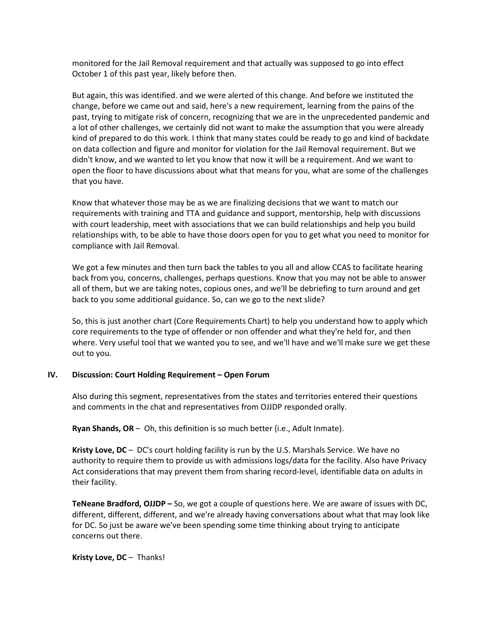monitored for the Jail Removal requirement and that actually was supposed to go into effect October 1 of this past year, likely before then.

 change, before we came out and said, here's a new requirement, learning from the pains of the a lot of other challenges, we certainly did not want to make the assumption that you were already on data collection and figure and monitor for violation for the Jail Removal requirement. But we didn't know, and we wanted to let you know that now it will be a requirement. And we want to But again, this was identified. and we were alerted of this change. And before we instituted the past, trying to mitigate risk of concern, recognizing that we are in the unprecedented pandemic and kind of prepared to do this work. I think that many states could be ready to go and kind of backdate open the floor to have discussions about what that means for you, what are some of the challenges that you have.

 Know that whatever those may be as we are finalizing decisions that we want to match our requirements with training and TTA and guidance and support, mentorship, help with discussions relationships with, to be able to have those doors open for you to get what you need to monitor for with court leadership, meet with associations that we can build relationships and help you build compliance with Jail Removal.

 We got a few minutes and then turn back the tables to you all and allow CCAS to facilitate hearing back from you, concerns, challenges, perhaps questions. Know that you may not be able to answer back to you some additional guidance. So, can we go to the next slide? all of them, but we are taking notes, copious ones, and we'll be debriefing to turn around and get

 So, this is just another chart (Core Requirements Chart) to help you understand how to apply which core requirements to the type of offender or non offender and what they're held for, and then where. Very useful tool that we wanted you to see, and we'll have and we'll make sure we get these out to you.

## **IV. Discussion: Court Holding Requirement – Open Forum**

 and comments in the chat and representatives from OJJDP responded orally. Also during this segment, representatives from the states and territories entered their questions

**Ryan Shands, OR** – Oh, this definition is so much better (i.e., Adult Inmate).

 **Kristy Love, DC** – DC's court holding facility is run by the U.S. Marshals Service. We have no authority to require them to provide us with admissions logs/data for the facility. Also have Privacy Act considerations that may prevent them from sharing record-level, identifiable data on adults in their facility.

 different, different, different, and we're already having conversations about what that may look like **TeNeane Bradford, OJJDP –** So, we got a couple of questions here. We are aware of issues with DC, for DC. So just be aware we've been spending some time thinking about trying to anticipate concerns out there.

**Kristy Love, DC** – Thanks!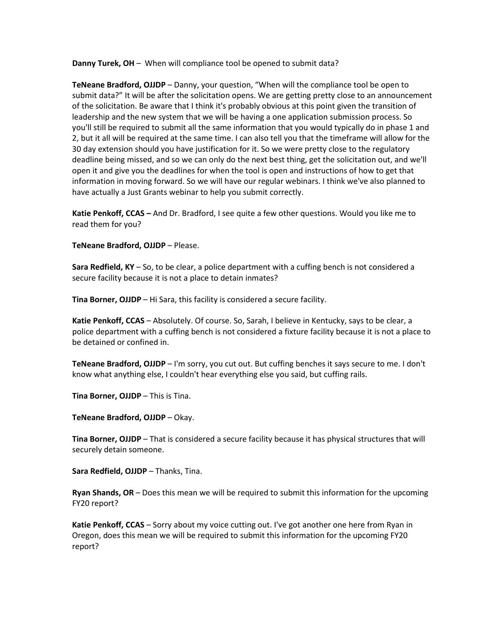**Danny Turek, OH** – When will compliance tool be opened to submit data?

 **TeNeane Bradford, OJJDP** – Danny, your question, "When will the compliance tool be open to 2, but it all will be required at the same time. I can also tell you that the timeframe will allow for the deadline being missed, and so we can only do the next best thing, get the solicitation out, and we'll open it and give you the deadlines for when the tool is open and instructions of how to get that information in moving forward. So we will have our regular webinars. I think we've also planned to submit data?" It will be after the solicitation opens. We are getting pretty close to an announcement of the solicitation. Be aware that I think it's probably obvious at this point given the transition of leadership and the new system that we will be having a one application submission process. So you'll still be required to submit all the same information that you would typically do in phase 1 and 30 day extension should you have justification for it. So we were pretty close to the regulatory have actually a Just Grants webinar to help you submit correctly.

 **Katie Penkoff, CCAS –** And Dr. Bradford, I see quite a few other questions. Would you like me to read them for you?

**TeNeane Bradford, OJJDP** – Please.

 **Sara Redfield, KY** – So, to be clear, a police department with a cuffing bench is not considered a secure facility because it is not a place to detain inmates?

**Tina Borner, OJJDP** – Hi Sara, this facility is considered a secure facility.

 **Katie Penkoff, CCAS** – Absolutely. Of course. So, Sarah, I believe in Kentucky, says to be clear, a police department with a cuffing bench is not considered a fixture facility because it is not a place to be detained or confined in.

 **TeNeane Bradford, OJJDP** – I'm sorry, you cut out. But cuffing benches it says secure to me. I don't know what anything else, I couldn't hear everything else you said, but cuffing rails.

**Tina Borner, OJJDP** – This is Tina.

**TeNeane Bradford, OJJDP** – Okay.

 **Tina Borner, OJJDP** – That is considered a secure facility because it has physical structures that will securely detain someone.

**Sara Redfield, OJJDP** – Thanks, Tina.

 **Ryan Shands, OR** – Does this mean we will be required to submit this information for the upcoming FY20 report?

 **Katie Penkoff, CCAS** – Sorry about my voice cutting out. I've got another one here from Ryan in Oregon, does this mean we will be required to submit this information for the upcoming FY20 report?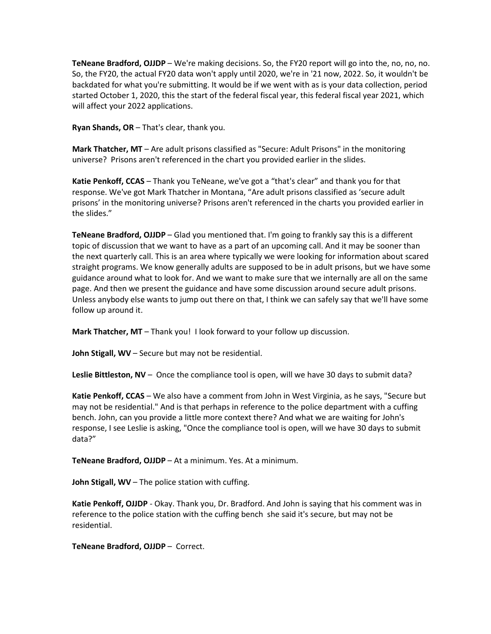**TeNeane Bradford, OJJDP** – We're making decisions. So, the FY20 report will go into the, no, no, no. So, the FY20, the actual FY20 data won't apply until 2020, we're in '21 now, 2022. So, it wouldn't be backdated for what you're submitting. It would be if we went with as is your data collection, period started October 1, 2020, this the start of the federal fiscal year, this federal fiscal year 2021, which will affect your 2022 applications.

**Ryan Shands, OR** – That's clear, thank you.

 **Mark Thatcher, MT** – Are adult prisons classified as "Secure: Adult Prisons" in the monitoring universe? Prisons aren't referenced in the chart you provided earlier in the slides.

 **Katie Penkoff, CCAS** – Thank you TeNeane, we've got a "that's clear" and thank you for that response. We've got Mark Thatcher in Montana, "Are adult prisons classified as 'secure adult prisons' in the monitoring universe? Prisons aren't referenced in the charts you provided earlier in the slides."

 **TeNeane Bradford, OJJDP** – Glad you mentioned that. I'm going to frankly say this is a different topic of discussion that we want to have as a part of an upcoming call. And it may be sooner than the next quarterly call. This is an area where typically we were looking for information about scared straight programs. We know generally adults are supposed to be in adult prisons, but we have some Unless anybody else wants to jump out there on that, I think we can safely say that we'll have some guidance around what to look for. And we want to make sure that we internally are all on the same page. And then we present the guidance and have some discussion around secure adult prisons. follow up around it.

**Mark Thatcher, MT** – Thank you! I look forward to your follow up discussion.

**John Stigall, WV** – Secure but may not be residential.

**Leslie Bittleston, NV** – Once the compliance tool is open, will we have 30 days to submit data?

 **Katie Penkoff, CCAS** – We also have a comment from John in West Virginia, as he says, "Secure but bench. John, can you provide a little more context there? And what we are waiting for John's response, I see Leslie is asking, "Once the compliance tool is open, will we have 30 days to submit may not be residential." And is that perhaps in reference to the police department with a cuffing data?"

**TeNeane Bradford, OJJDP** – At a minimum. Yes. At a minimum.

**John Stigall, WV** – The police station with cuffing.

 **Katie Penkoff, OJJDP** - Okay. Thank you, Dr. Bradford. And John is saying that his comment was in reference to the police station with the cuffing bench she said it's secure, but may not be residential.

**TeNeane Bradford, OJJDP** – Correct.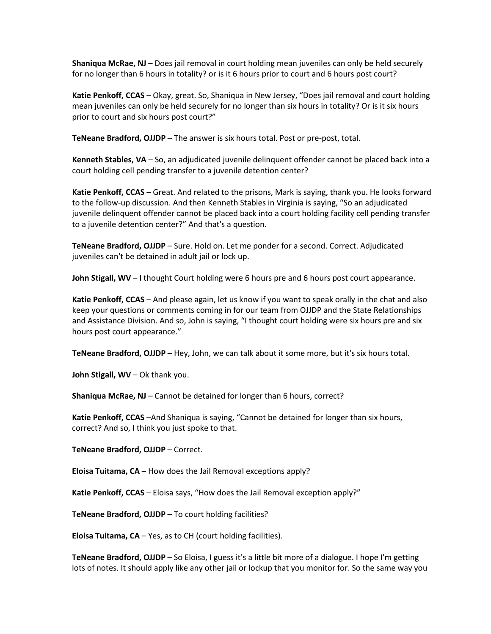**Shaniqua McRae, NJ** – Does jail removal in court holding mean juveniles can only be held securely for no longer than 6 hours in totality? or is it 6 hours prior to court and 6 hours post court?

 **Katie Penkoff, CCAS** – Okay, great. So, Shaniqua in New Jersey, "Does jail removal and court holding mean juveniles can only be held securely for no longer than six hours in totality? Or is it six hours prior to court and six hours post court?"

**TeNeane Bradford, OJJDP** – The answer is six hours total. Post or pre-post, total.

 **Kenneth Stables, VA** – So, an adjudicated juvenile delinquent offender cannot be placed back into a court holding cell pending transfer to a juvenile detention center?

 **Katie Penkoff, CCAS** – Great. And related to the prisons, Mark is saying, thank you. He looks forward to the follow-up discussion. And then Kenneth Stables in Virginia is saying, "So an adjudicated juvenile delinquent offender cannot be placed back into a court holding facility cell pending transfer to a juvenile detention center?" And that's a question.

 **TeNeane Bradford, OJJDP** – Sure. Hold on. Let me ponder for a second. Correct. Adjudicated juveniles can't be detained in adult jail or lock up.

**John Stigall, WV** – I thought Court holding were 6 hours pre and 6 hours post court appearance.

 **Katie Penkoff, CCAS** – And please again, let us know if you want to speak orally in the chat and also and Assistance Division. And so, John is saying, "I thought court holding were six hours pre and six keep your questions or comments coming in for our team from OJJDP and the State Relationships hours post court appearance."

**TeNeane Bradford, OJJDP** – Hey, John, we can talk about it some more, but it's six hours total.

**John Stigall, WV** – Ok thank you.

**Shaniqua McRae, NJ** – Cannot be detained for longer than 6 hours, correct?

 correct? And so, I think you just spoke to that. **Katie Penkoff, CCAS** –And Shaniqua is saying, "Cannot be detained for longer than six hours,

**TeNeane Bradford, OJJDP** – Correct.

**Eloisa Tuitama, CA** – How does the Jail Removal exceptions apply?

**Katie Penkoff, CCAS** – Eloisa says, "How does the Jail Removal exception apply?"

**TeNeane Bradford, OJJDP** – To court holding facilities?

**Eloisa Tuitama, CA** – Yes, as to CH (court holding facilities).

 **TeNeane Bradford, OJJDP** – So Eloisa, I guess it's a little bit more of a dialogue. I hope I'm getting lots of notes. It should apply like any other jail or lockup that you monitor for. So the same way you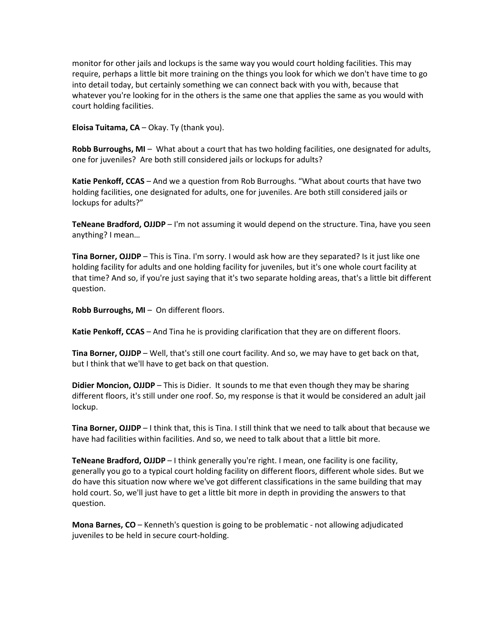monitor for other jails and lockups is the same way you would court holding facilities. This may require, perhaps a little bit more training on the things you look for which we don't have time to go into detail today, but certainly something we can connect back with you with, because that whatever you're looking for in the others is the same one that applies the same as you would with court holding facilities.

**Eloisa Tuitama, CA** – Okay. Ty (thank you).

 **Robb Burroughs, MI** – What about a court that has two holding facilities, one designated for adults, one for juveniles? Are both still considered jails or lockups for adults?

 **Katie Penkoff, CCAS** – And we a question from Rob Burroughs. "What about courts that have two holding facilities, one designated for adults, one for juveniles. Are both still considered jails or lockups for adults?"

 **TeNeane Bradford, OJJDP** – I'm not assuming it would depend on the structure. Tina, have you seen anything? I mean…

 **Tina Borner, OJJDP** – This is Tina. I'm sorry. I would ask how are they separated? Is it just like one holding facility for adults and one holding facility for juveniles, but it's one whole court facility at that time? And so, if you're just saying that it's two separate holding areas, that's a little bit different question.

**Robb Burroughs, MI** – On different floors.

**Katie Penkoff, CCAS** – And Tina he is providing clarification that they are on different floors.

 **Tina Borner, OJJDP** – Well, that's still one court facility. And so, we may have to get back on that, but I think that we'll have to get back on that question.

 **Didier Moncion, OJJDP** – This is Didier. It sounds to me that even though they may be sharing different floors, it's still under one roof. So, my response is that it would be considered an adult jail lockup.

 **Tina Borner, OJJDP** – I think that, this is Tina. I still think that we need to talk about that because we have had facilities within facilities. And so, we need to talk about that a little bit more.

 **TeNeane Bradford, OJJDP** – I think generally you're right. I mean, one facility is one facility, generally you go to a typical court holding facility on different floors, different whole sides. But we do have this situation now where we've got different classifications in the same building that may hold court. So, we'll just have to get a little bit more in depth in providing the answers to that question.

 **Mona Barnes, CO** – Kenneth's question is going to be problematic - not allowing adjudicated juveniles to be held in secure court-holding.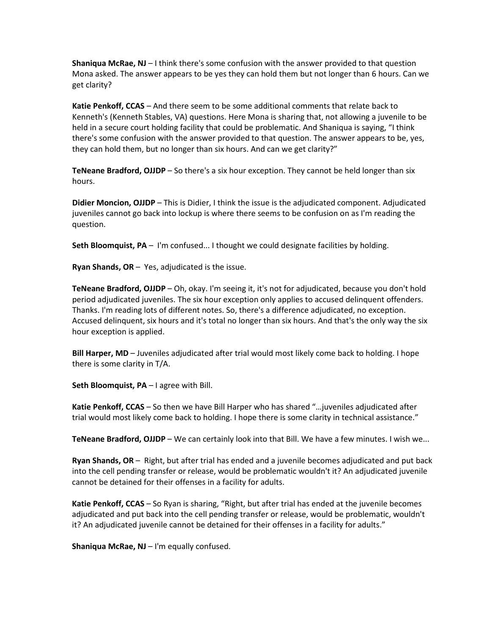**Shaniqua McRae, NJ** – I think there's some confusion with the answer provided to that question Mona asked. The answer appears to be yes they can hold them but not longer than 6 hours. Can we get clarity?

 **Katie Penkoff, CCAS** – And there seem to be some additional comments that relate back to there's some confusion with the answer provided to that question. The answer appears to be, yes, they can hold them, but no longer than six hours. And can we get clarity?" Kenneth's (Kenneth Stables, VA) questions. Here Mona is sharing that, not allowing a juvenile to be held in a secure court holding facility that could be problematic. And Shaniqua is saying, "I think

 **TeNeane Bradford, OJJDP** – So there's a six hour exception. They cannot be held longer than six hours.

 **Didier Moncion, OJJDP** – This is Didier, I think the issue is the adjudicated component. Adjudicated juveniles cannot go back into lockup is where there seems to be confusion on as I'm reading the question.

**Seth Bloomquist, PA** – I'm confused... I thought we could designate facilities by holding.

**Ryan Shands, OR** – Yes, adjudicated is the issue.

 **TeNeane Bradford, OJJDP** – Oh, okay. I'm seeing it, it's not for adjudicated, because you don't hold period adjudicated juveniles. The six hour exception only applies to accused delinquent offenders. Thanks. I'm reading lots of different notes. So, there's a difference adjudicated, no exception. Accused delinquent, six hours and it's total no longer than six hours. And that's the only way the six hour exception is applied.

 **Bill Harper, MD** – Juveniles adjudicated after trial would most likely come back to holding. I hope there is some clarity in T/A.

**Seth Bloomquist, PA** – I agree with Bill.

 **Katie Penkoff, CCAS** – So then we have Bill Harper who has shared "…juveniles adjudicated after trial would most likely come back to holding. I hope there is some clarity in technical assistance."

**TeNeane Bradford, OJJDP** – We can certainly look into that Bill. We have a few minutes. I wish we...

 **Ryan Shands, OR** – Right, but after trial has ended and a juvenile becomes adjudicated and put back into the cell pending transfer or release, would be problematic wouldn't it? An adjudicated juvenile cannot be detained for their offenses in a facility for adults.

 **Katie Penkoff, CCAS** – So Ryan is sharing, "Right, but after trial has ended at the juvenile becomes adjudicated and put back into the cell pending transfer or release, would be problematic, wouldn't it? An adjudicated juvenile cannot be detained for their offenses in a facility for adults."

**Shaniqua McRae, NJ** – I'm equally confused.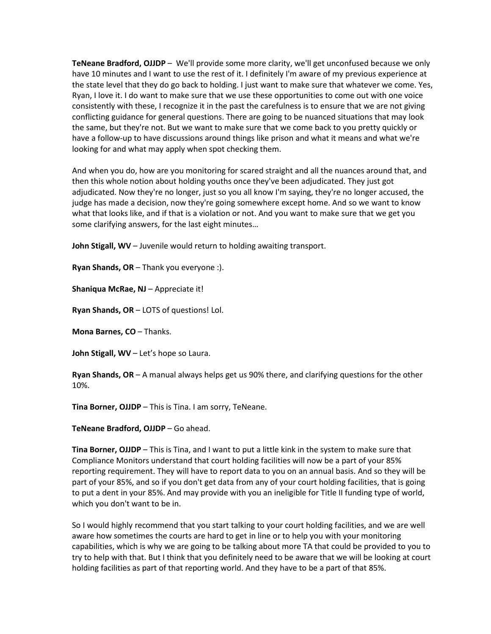**TeNeane Bradford, OJJDP** – We'll provide some more clarity, we'll get unconfused because we only have 10 minutes and I want to use the rest of it. I definitely I'm aware of my previous experience at Ryan, I love it. I do want to make sure that we use these opportunities to come out with one voice the same, but they're not. But we want to make sure that we come back to you pretty quickly or have a follow-up to have discussions around things like prison and what it means and what we're the state level that they do go back to holding. I just want to make sure that whatever we come. Yes, consistently with these, I recognize it in the past the carefulness is to ensure that we are not giving conflicting guidance for general questions. There are going to be nuanced situations that may look looking for and what may apply when spot checking them.

 And when you do, how are you monitoring for scared straight and all the nuances around that, and adjudicated. Now they're no longer, just so you all know I'm saying, they're no longer accused, the what that looks like, and if that is a violation or not. And you want to make sure that we get you then this whole notion about holding youths once they've been adjudicated. They just got judge has made a decision, now they're going somewhere except home. And so we want to know some clarifying answers, for the last eight minutes…

**John Stigall, WV** – Juvenile would return to holding awaiting transport.

**Ryan Shands, OR** – Thank you everyone :).

**Shaniqua McRae, NJ** – Appreciate it!

**Ryan Shands, OR** – LOTS of questions! Lol.

**Mona Barnes, CO** – Thanks.

**John Stigall, WV** – Let's hope so Laura.

 **Ryan Shands, OR** – A manual always helps get us 90% there, and clarifying questions for the other 10%.

**Tina Borner, OJJDP** – This is Tina. I am sorry, TeNeane.

**TeNeane Bradford, OJJDP** – Go ahead.

 **Tina Borner, OJJDP** – This is Tina, and I want to put a little kink in the system to make sure that Compliance Monitors understand that court holding facilities will now be a part of your 85% to put a dent in your 85%. And may provide with you an ineligible for Title II funding type of world, reporting requirement. They will have to report data to you on an annual basis. And so they will be part of your 85%, and so if you don't get data from any of your court holding facilities, that is going which you don't want to be in.

 aware how sometimes the courts are hard to get in line or to help you with your monitoring capabilities, which is why we are going to be talking about more TA that could be provided to you to So I would highly recommend that you start talking to your court holding facilities, and we are well try to help with that. But I think that you definitely need to be aware that we will be looking at court holding facilities as part of that reporting world. And they have to be a part of that 85%.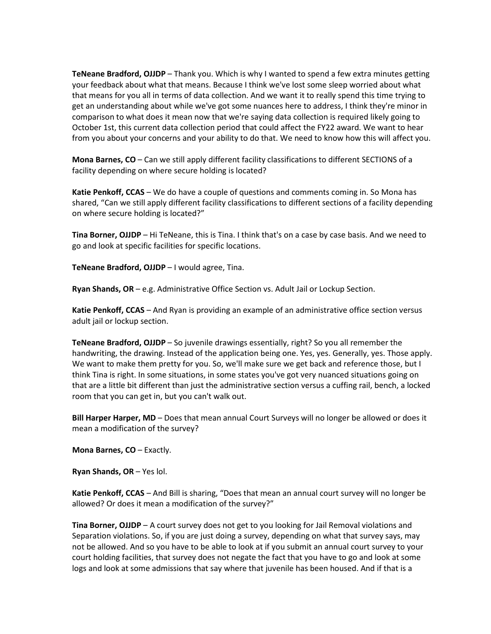**TeNeane Bradford, OJJDP** – Thank you. Which is why I wanted to spend a few extra minutes getting that means for you all in terms of data collection. And we want it to really spend this time trying to get an understanding about while we've got some nuances here to address, I think they're minor in comparison to what does it mean now that we're saying data collection is required likely going to October 1st, this current data collection period that could affect the FY22 award. We want to hear your feedback about what that means. Because I think we've lost some sleep worried about what from you about your concerns and your ability to do that. We need to know how this will affect you.

 **Mona Barnes, CO** – Can we still apply different facility classifications to different SECTIONS of a facility depending on where secure holding is located?

 **Katie Penkoff, CCAS** – We do have a couple of questions and comments coming in. So Mona has shared, "Can we still apply different facility classifications to different sections of a facility depending on where secure holding is located?"

 **Tina Borner, OJJDP** – Hi TeNeane, this is Tina. I think that's on a case by case basis. And we need to go and look at specific facilities for specific locations.

**TeNeane Bradford, OJJDP** – I would agree, Tina.

**Ryan Shands, OR** – e.g. Administrative Office Section vs. Adult Jail or Lockup Section.

 **Katie Penkoff, CCAS** – And Ryan is providing an example of an administrative office section versus adult jail or lockup section.

 **TeNeane Bradford, OJJDP** – So juvenile drawings essentially, right? So you all remember the room that you can get in, but you can't walk out. handwriting, the drawing. Instead of the application being one. Yes, yes. Generally, yes. Those apply. We want to make them pretty for you. So, we'll make sure we get back and reference those, but I think Tina is right. In some situations, in some states you've got very nuanced situations going on that are a little bit different than just the administrative section versus a cuffing rail, bench, a locked

 **Bill Harper Harper, MD** – Does that mean annual Court Surveys will no longer be allowed or does it mean a modification of the survey?

**Mona Barnes, CO** – Exactly.

**Ryan Shands, OR** – Yes lol.

 **Katie Penkoff, CCAS** – And Bill is sharing, "Does that mean an annual court survey will no longer be allowed? Or does it mean a modification of the survey?"

 **Tina Borner, OJJDP** – A court survey does not get to you looking for Jail Removal violations and Separation violations. So, if you are just doing a survey, depending on what that survey says, may not be allowed. And so you have to be able to look at if you submit an annual court survey to your court holding facilities, that survey does not negate the fact that you have to go and look at some logs and look at some admissions that say where that juvenile has been housed. And if that is a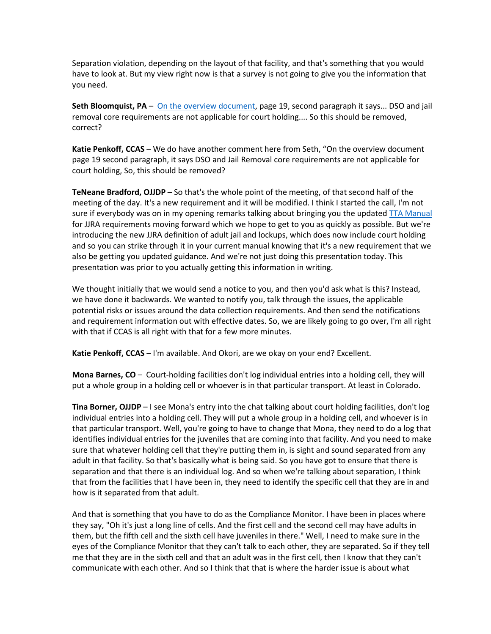Separation violation, depending on the layout of that facility, and that's something that you would have to look at. But my view right now is that a survey is not going to give you the information that you need.

**Seth Bloomquist, PA** – *[On the overview document,](https://ojjdp.ojp.gov/sites/g/files/xyckuh176/files/media/document/Compliance-Monitoring-TA-Tool.pdf)* page 19, second paragraph it says... DSO and jail removal core requirements are not applicable for court holding.... So this should be removed, correct?

 **Katie Penkoff, CCAS** – We do have another comment here from Seth, "On the overview document court holding, So, this should be removed? page 19 second paragraph, it says DSO and Jail Removal core requirements are not applicable for

 **TeNeane Bradford, OJJDP** – So that's the whole point of the meeting, of that second half of the for JJRA requirements moving forward which we hope to get to you as quickly as possible. But we're and so you can strike through it in your current manual knowing that it's a new requirement that we also be getting you updated guidance. And we're not just doing this presentation today. This meeting of the day. It's a new requirement and it will be modified. I think I started the call, I'm not sure if everybody was on in my opening remarks talking about bringing you the update[d TTA Manual](https://ojjdp.ojp.gov/sites/g/files/xyckuh176/files/media/document/Compliance-Monitoring-TA-Tool.pdf)  introducing the new JJRA definition of adult jail and lockups, which does now include court holding presentation was prior to you actually getting this information in writing.

 we have done it backwards. We wanted to notify you, talk through the issues, the applicable We thought initially that we would send a notice to you, and then you'd ask what is this? Instead, potential risks or issues around the data collection requirements. And then send the notifications and requirement information out with effective dates. So, we are likely going to go over, I'm all right with that if CCAS is all right with that for a few more minutes.

**Katie Penkoff, CCAS** – I'm available. And Okori, are we okay on your end? Excellent.

 **Mona Barnes, CO** – Court-holding facilities don't log individual entries into a holding cell, they will put a whole group in a holding cell or whoever is in that particular transport. At least in Colorado.

 **Tina Borner, OJJDP** – I see Mona's entry into the chat talking about court holding facilities, don't log that particular transport. Well, you're going to have to change that Mona, they need to do a log that identifies individual entries for the juveniles that are coming into that facility. And you need to make individual entries into a holding cell. They will put a whole group in a holding cell, and whoever is in sure that whatever holding cell that they're putting them in, is sight and sound separated from any adult in that facility. So that's basically what is being said. So you have got to ensure that there is separation and that there is an individual log. And so when we're talking about separation, I think that from the facilities that I have been in, they need to identify the specific cell that they are in and how is it separated from that adult.

 And that is something that you have to do as the Compliance Monitor. I have been in places where they say, "Oh it's just a long line of cells. And the first cell and the second cell may have adults in eyes of the Compliance Monitor that they can't talk to each other, they are separated. So if they tell me that they are in the sixth cell and that an adult was in the first cell, then I know that they can't communicate with each other. And so I think that that is where the harder issue is about what them, but the fifth cell and the sixth cell have juveniles in there." Well, I need to make sure in the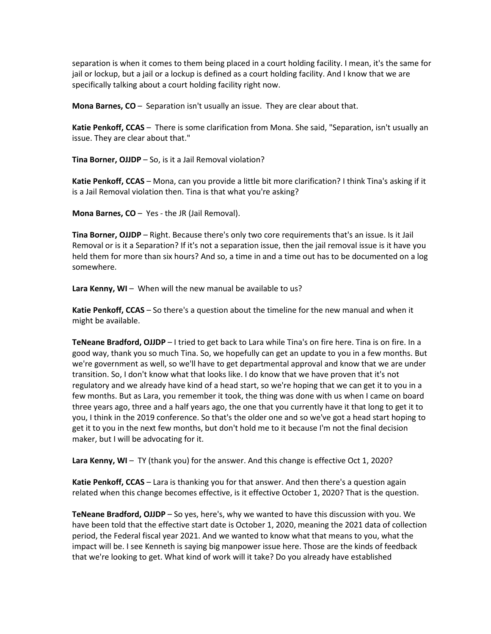separation is when it comes to them being placed in a court holding facility. I mean, it's the same for jail or lockup, but a jail or a lockup is defined as a court holding facility. And I know that we are specifically talking about a court holding facility right now.

**Mona Barnes, CO** – Separation isn't usually an issue. They are clear about that.

 **Katie Penkoff, CCAS** – There is some clarification from Mona. She said, "Separation, isn't usually an issue. They are clear about that."

**Tina Borner, OJJDP** – So, is it a Jail Removal violation?

 **Katie Penkoff, CCAS** – Mona, can you provide a little bit more clarification? I think Tina's asking if it is a Jail Removal violation then. Tina is that what you're asking?

**Mona Barnes, CO** – Yes - the JR (Jail Removal).

 **Tina Borner, OJJDP** – Right. Because there's only two core requirements that's an issue. Is it Jail held them for more than six hours? And so, a time in and a time out has to be documented on a log Removal or is it a Separation? If it's not a separation issue, then the jail removal issue is it have you somewhere.

**Lara Kenny, WI** – When will the new manual be available to us?

 **Katie Penkoff, CCAS** – So there's a question about the timeline for the new manual and when it might be available.

 **TeNeane Bradford, OJJDP** – I tried to get back to Lara while Tina's on fire here. Tina is on fire. In a good way, thank you so much Tina. So, we hopefully can get an update to you in a few months. But we're government as well, so we'll have to get departmental approval and know that we are under regulatory and we already have kind of a head start, so we're hoping that we can get it to you in a few months. But as Lara, you remember it took, the thing was done with us when I came on board get it to you in the next few months, but don't hold me to it because I'm not the final decision maker, but I will be advocating for it. transition. So, I don't know what that looks like. I do know that we have proven that it's not three years ago, three and a half years ago, the one that you currently have it that long to get it to you, I think in the 2019 conference. So that's the older one and so we've got a head start hoping to

Lara Kenny, WI - TY (thank you) for the answer. And this change is effective Oct 1, 2020?

 **Katie Penkoff, CCAS** – Lara is thanking you for that answer. And then there's a question again related when this change becomes effective, is it effective October 1, 2020? That is the question.

 **TeNeane Bradford, OJJDP** – So yes, here's, why we wanted to have this discussion with you. We have been told that the effective start date is October 1, 2020, meaning the 2021 data of collection period, the Federal fiscal year 2021. And we wanted to know what that means to you, what the that we're looking to get. What kind of work will it take? Do you already have established impact will be. I see Kenneth is saying big manpower issue here. Those are the kinds of feedback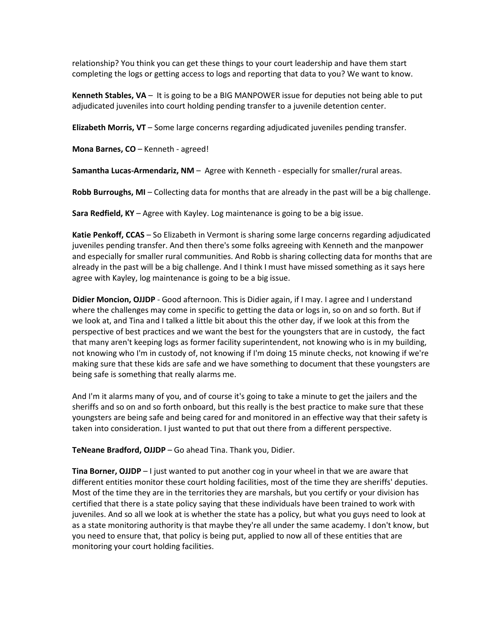relationship? You think you can get these things to your court leadership and have them start completing the logs or getting access to logs and reporting that data to you? We want to know.

 **Kenneth Stables, VA** – It is going to be a BIG MANPOWER issue for deputies not being able to put adjudicated juveniles into court holding pending transfer to a juvenile detention center.

**Elizabeth Morris, VT** – Some large concerns regarding adjudicated juveniles pending transfer.

**Mona Barnes, CO** – Kenneth - agreed!

**Samantha Lucas-Armendariz, NM** – Agree with Kenneth - especially for smaller/rural areas.

**Robb Burroughs, MI** – Collecting data for months that are already in the past will be a big challenge.

**Sara Redfield, KY** – Agree with Kayley. Log maintenance is going to be a big issue.

 **Katie Penkoff, CCAS** – So Elizabeth in Vermont is sharing some large concerns regarding adjudicated juveniles pending transfer. And then there's some folks agreeing with Kenneth and the manpower already in the past will be a big challenge. And I think I must have missed something as it says here and especially for smaller rural communities. And Robb is sharing collecting data for months that are agree with Kayley, log maintenance is going to be a big issue.

 **Didier Moncion, OJJDP** - Good afternoon. This is Didier again, if I may. I agree and I understand where the challenges may come in specific to getting the data or logs in, so on and so forth. But if perspective of best practices and we want the best for the youngsters that are in custody, the fact that many aren't keeping logs as former facility superintendent, not knowing who is in my building, not knowing who I'm in custody of, not knowing if I'm doing 15 minute checks, not knowing if we're we look at, and Tina and I talked a little bit about this the other day, if we look at this from the making sure that these kids are safe and we have something to document that these youngsters are being safe is something that really alarms me.

 And I'm it alarms many of you, and of course it's going to take a minute to get the jailers and the sheriffs and so on and so forth onboard, but this really is the best practice to make sure that these youngsters are being safe and being cared for and monitored in an effective way that their safety is taken into consideration. I just wanted to put that out there from a different perspective.

**TeNeane Bradford, OJJDP** – Go ahead Tina. Thank you, Didier.

 **Tina Borner, OJJDP** – I just wanted to put another cog in your wheel in that we are aware that Most of the time they are in the territories they are marshals, but you certify or your division has certified that there is a state policy saying that these individuals have been trained to work with as a state monitoring authority is that maybe they're all under the same academy. I don't know, but monitoring your court holding facilities. different entities monitor these court holding facilities, most of the time they are sheriffs' deputies. juveniles. And so all we look at is whether the state has a policy, but what you guys need to look at you need to ensure that, that policy is being put, applied to now all of these entities that are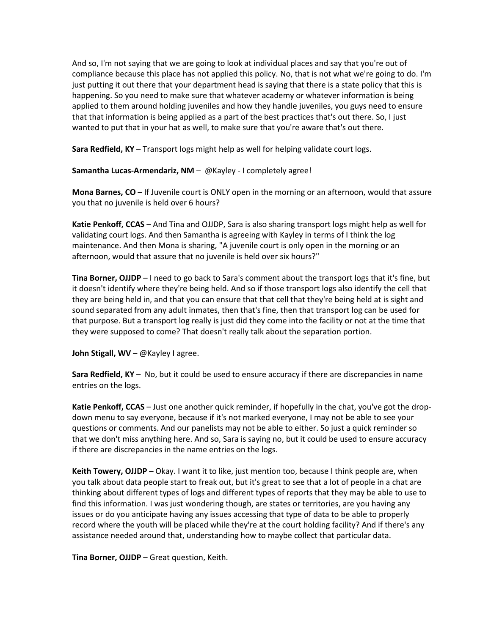And so, I'm not saying that we are going to look at individual places and say that you're out of just putting it out there that your department head is saying that there is a state policy that this is happening. So you need to make sure that whatever academy or whatever information is being applied to them around holding juveniles and how they handle juveniles, you guys need to ensure that that information is being applied as a part of the best practices that's out there. So, I just wanted to put that in your hat as well, to make sure that you're aware that's out there. compliance because this place has not applied this policy. No, that is not what we're going to do. I'm

**Sara Redfield, KY** – Transport logs might help as well for helping validate court logs.

**Samantha Lucas-Armendariz, NM** – @Kayley - I completely agree!

 **Mona Barnes, CO** – If Juvenile court is ONLY open in the morning or an afternoon, would that assure you that no juvenile is held over 6 hours?

 **Katie Penkoff, CCAS** – And Tina and OJJDP, Sara is also sharing transport logs might help as well for maintenance. And then Mona is sharing, "A juvenile court is only open in the morning or an afternoon, would that assure that no juvenile is held over six hours?" validating court logs. And then Samantha is agreeing with Kayley in terms of I think the log

 **Tina Borner, OJJDP** – I need to go back to Sara's comment about the transport logs that it's fine, but they are being held in, and that you can ensure that that cell that they're being held at is sight and sound separated from any adult inmates, then that's fine, then that transport log can be used for it doesn't identify where they're being held. And so if those transport logs also identify the cell that that purpose. But a transport log really is just did they come into the facility or not at the time that they were supposed to come? That doesn't really talk about the separation portion.

**John Stigall, WV** – @Kayley I agree.

 **Sara Redfield, KY** – No, but it could be used to ensure accuracy if there are discrepancies in name entries on the logs.

 **Katie Penkoff, CCAS** – Just one another quick reminder, if hopefully in the chat, you've got the drop- down menu to say everyone, because if it's not marked everyone, I may not be able to see your questions or comments. And our panelists may not be able to either. So just a quick reminder so that we don't miss anything here. And so, Sara is saying no, but it could be used to ensure accuracy if there are discrepancies in the name entries on the logs.

 **Keith Towery, OJJDP** – Okay. I want it to like, just mention too, because I think people are, when thinking about different types of logs and different types of reports that they may be able to use to find this information. I was just wondering though, are states or territories, are you having any issues or do you anticipate having any issues accessing that type of data to be able to properly record where the youth will be placed while they're at the court holding facility? And if there's any you talk about data people start to freak out, but it's great to see that a lot of people in a chat are assistance needed around that, understanding how to maybe collect that particular data.

**Tina Borner, OJJDP** – Great question, Keith.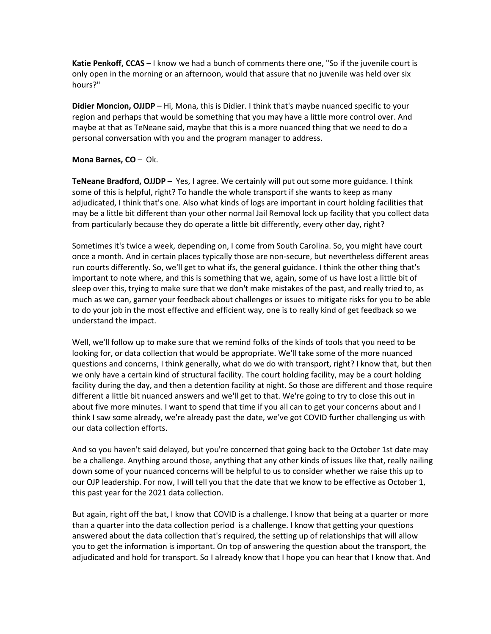**Katie Penkoff, CCAS** – I know we had a bunch of comments there one, "So if the juvenile court is only open in the morning or an afternoon, would that assure that no juvenile was held over six hours?"

 **Didier Moncion, OJJDP** – Hi, Mona, this is Didier. I think that's maybe nuanced specific to your region and perhaps that would be something that you may have a little more control over. And maybe at that as TeNeane said, maybe that this is a more nuanced thing that we need to do a personal conversation with you and the program manager to address.

## **Mona Barnes, CO** – Ok.

 **TeNeane Bradford, OJJDP** – Yes, I agree. We certainly will put out some more guidance. I think some of this is helpful, right? To handle the whole transport if she wants to keep as many adjudicated, I think that's one. Also what kinds of logs are important in court holding facilities that from particularly because they do operate a little bit differently, every other day, right? may be a little bit different than your other normal Jail Removal lock up facility that you collect data

 run courts differently. So, we'll get to what ifs, the general guidance. I think the other thing that's sleep over this, trying to make sure that we don't make mistakes of the past, and really tried to, as to do your job in the most effective and efficient way, one is to really kind of get feedback so we Sometimes it's twice a week, depending on, I come from South Carolina. So, you might have court once a month. And in certain places typically those are non-secure, but nevertheless different areas important to note where, and this is something that we, again, some of us have lost a little bit of much as we can, garner your feedback about challenges or issues to mitigate risks for you to be able understand the impact.

 Well, we'll follow up to make sure that we remind folks of the kinds of tools that you need to be looking for, or data collection that would be appropriate. We'll take some of the more nuanced questions and concerns, I think generally, what do we do with transport, right? I know that, but then different a little bit nuanced answers and we'll get to that. We're going to try to close this out in about five more minutes. I want to spend that time if you all can to get your concerns about and I we only have a certain kind of structural facility. The court holding facility, may be a court holding facility during the day, and then a detention facility at night. So those are different and those require think I saw some already, we're already past the date, we've got COVID further challenging us with our data collection efforts.

 And so you haven't said delayed, but you're concerned that going back to the October 1st date may down some of your nuanced concerns will be helpful to us to consider whether we raise this up to our OJP leadership. For now, I will tell you that the date that we know to be effective as October 1, be a challenge. Anything around those, anything that any other kinds of issues like that, really nailing this past year for the 2021 data collection.

 answered about the data collection that's required, the setting up of relationships that will allow you to get the information is important. On top of answering the question about the transport, the adjudicated and hold for transport. So I already know that I hope you can hear that I know that. And But again, right off the bat, I know that COVID is a challenge. I know that being at a quarter or more than a quarter into the data collection period is a challenge. I know that getting your questions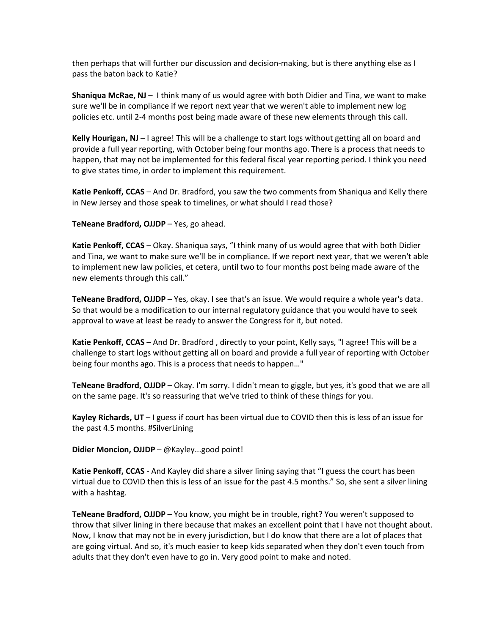then perhaps that will further our discussion and decision-making, but is there anything else as I pass the baton back to Katie?

 **Shaniqua McRae, NJ** – I think many of us would agree with both Didier and Tina, we want to make sure we'll be in compliance if we report next year that we weren't able to implement new log policies etc. until 2-4 months post being made aware of these new elements through this call.

 **Kelly Hourigan, NJ** – I agree! This will be a challenge to start logs without getting all on board and happen, that may not be implemented for this federal fiscal year reporting period. I think you need provide a full year reporting, with October being four months ago. There is a process that needs to to give states time, in order to implement this requirement.

 **Katie Penkoff, CCAS** – And Dr. Bradford, you saw the two comments from Shaniqua and Kelly there in New Jersey and those speak to timelines, or what should I read those?

**TeNeane Bradford, OJJDP** – Yes, go ahead.

 **Katie Penkoff, CCAS** – Okay. Shaniqua says, "I think many of us would agree that with both Didier and Tina, we want to make sure we'll be in compliance. If we report next year, that we weren't able to implement new law policies, et cetera, until two to four months post being made aware of the new elements through this call."

**TeNeane Bradford, OJJDP** – Yes, okay. I see that's an issue. We would require a whole year's data. So that would be a modification to our internal regulatory guidance that you would have to seek approval to wave at least be ready to answer the Congress for it, but noted.

**Katie Penkoff, CCAS** – And Dr. Bradford , directly to your point, Kelly says, "I agree! This will be a challenge to start logs without getting all on board and provide a full year of reporting with October being four months ago. This is a process that needs to happen…"

 **TeNeane Bradford, OJJDP** – Okay. I'm sorry. I didn't mean to giggle, but yes, it's good that we are all on the same page. It's so reassuring that we've tried to think of these things for you.

 **Kayley Richards, UT** – I guess if court has been virtual due to COVID then this is less of an issue for the past 4.5 months. #SilverLining

**Didier Moncion, OJJDP** – @Kayley...good point!

 **Katie Penkoff, CCAS** - And Kayley did share a silver lining saying that "I guess the court has been virtual due to COVID then this is less of an issue for the past 4.5 months." So, she sent a silver lining with a hashtag.

 **TeNeane Bradford, OJJDP** – You know, you might be in trouble, right? You weren't supposed to Now, I know that may not be in every jurisdiction, but I do know that there are a lot of places that are going virtual. And so, it's much easier to keep kids separated when they don't even touch from throw that silver lining in there because that makes an excellent point that I have not thought about. adults that they don't even have to go in. Very good point to make and noted.